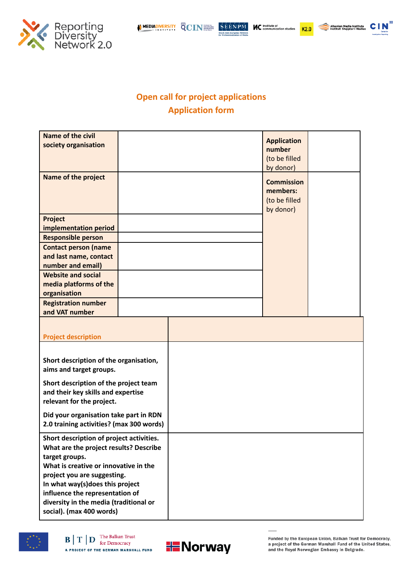

 $K2.0$ 

:<br>Albanian Media Institute<br>Instituti Shqiptar i Medias

**CIN** 



## **Open call for project applications Application form**

| <b>Name of the civil</b><br>society organisation                          |  |  | <b>Application</b><br>number<br>(to be filled<br>by donor)  |  |
|---------------------------------------------------------------------------|--|--|-------------------------------------------------------------|--|
| <b>Name of the project</b>                                                |  |  | <b>Commission</b><br>members:<br>(to be filled<br>by donor) |  |
| Project<br>implementation period                                          |  |  |                                                             |  |
| <b>Responsible person</b>                                                 |  |  |                                                             |  |
| <b>Contact person (name</b>                                               |  |  |                                                             |  |
| and last name, contact<br>number and email)                               |  |  |                                                             |  |
| <b>Website and social</b>                                                 |  |  |                                                             |  |
| media platforms of the                                                    |  |  |                                                             |  |
| organisation                                                              |  |  |                                                             |  |
| <b>Registration number</b>                                                |  |  |                                                             |  |
| and VAT number                                                            |  |  |                                                             |  |
| <b>Project description</b>                                                |  |  |                                                             |  |
|                                                                           |  |  |                                                             |  |
| Short description of the organisation,                                    |  |  |                                                             |  |
| aims and target groups.                                                   |  |  |                                                             |  |
| Short description of the project team                                     |  |  |                                                             |  |
| and their key skills and expertise                                        |  |  |                                                             |  |
| relevant for the project.                                                 |  |  |                                                             |  |
| Did your organisation take part in RDN                                    |  |  |                                                             |  |
| 2.0 training activities? (max 300 words)                                  |  |  |                                                             |  |
| Short description of project activities.                                  |  |  |                                                             |  |
| What are the project results? Describe<br>target groups.                  |  |  |                                                             |  |
| What is creative or innovative in the                                     |  |  |                                                             |  |
| project you are suggesting.                                               |  |  |                                                             |  |
| In what way(s)does this project                                           |  |  |                                                             |  |
| influence the representation of<br>diversity in the media (traditional or |  |  |                                                             |  |
| social). (max 400 words)                                                  |  |  |                                                             |  |